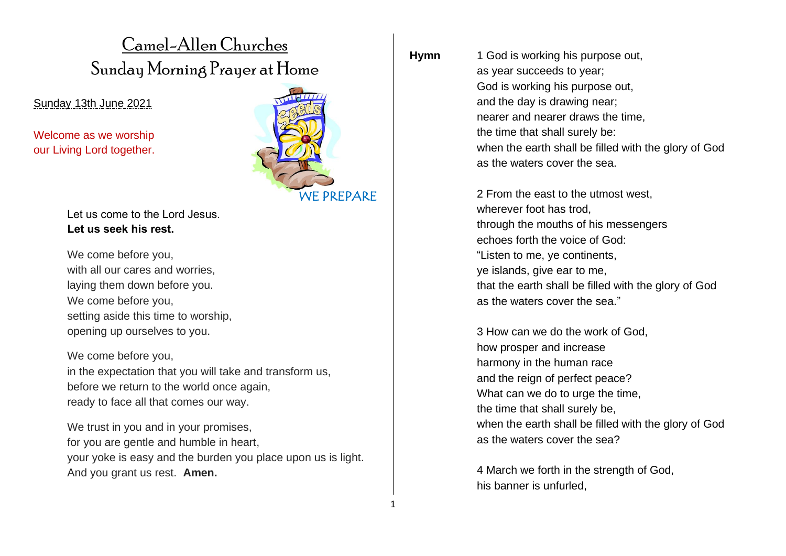# Camel-Allen Churches Sunday Morning Prayer at Home

Sunday 13th June 2021

Welcome as we worship our Living Lord together.



We come before you, with all our cares and worries. laying them down before you. We come before you, setting aside this time to worship, opening up ourselves to you.

We come before you, in the expectation that you will take and transform us, before we return to the world once again, ready to face all that comes our way.

We trust in you and in your promises, for you are gentle and humble in heart, your yoke is easy and the burden you place upon us is light. And you grant us rest. **Amen.**

WE PREPARE

**Hymn** 1 God is working his purpose out, as year succeeds to year; God is working his purpose out, and the day is drawing near; nearer and nearer draws the time, the time that shall surely be: when the earth shall be filled with the glory of God as the waters cover the sea.

> 2 From the east to the utmost west, wherever foot has trod. through the mouths of his messengers echoes forth the voice of God: "Listen to me, ye continents, ye islands, give ear to me, that the earth shall be filled with the glory of God as the waters cover the sea."

3 How can we do the work of God, how prosper and increase harmony in the human race and the reign of perfect peace? What can we do to urge the time, the time that shall surely be, when the earth shall be filled with the glory of God as the waters cover the sea?

4 March we forth in the strength of God, his banner is unfurled,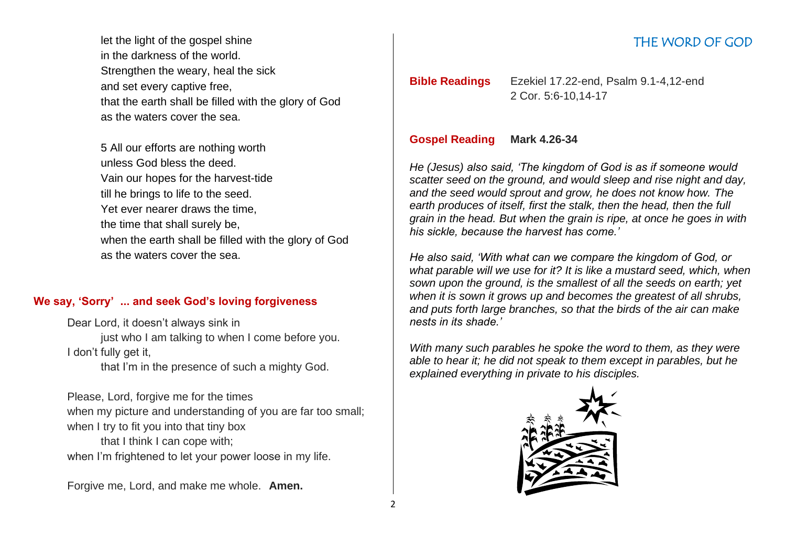let the light of the gospel shine in the darkness of the world. Strengthen the weary, heal the sick and set every captive free, that the earth shall be filled with the glory of God as the waters cover the sea.

5 All our efforts are nothing worth unless God bless the deed. Vain our hopes for the harvest-tide till he brings to life to the seed. Yet ever nearer draws the time, the time that shall surely be, when the earth shall be filled with the glory of God as the waters cover the sea.

#### **We say, 'Sorry' ... and seek God's loving forgiveness**

Dear Lord, it doesn't always sink in just who I am talking to when I come before you. I don't fully get it,

that I'm in the presence of such a mighty God.

Please, Lord, forgive me for the times when my picture and understanding of you are far too small; when I try to fit you into that tiny box that I think I can cope with;

when I'm frightened to let your power loose in my life.

Forgive me, Lord, and make me whole. **Amen.**

## THE WORD OF GOD

## **Bible Readings** Ezekiel 17.22-end, Psalm 9.1-4,12-end 2 Cor. 5:6-10,14-17

#### **Gospel Reading Mark 4.26-34**

*He (Jesus) also said, 'The kingdom of God is as if someone would scatter seed on the ground, and would sleep and rise night and day, and the seed would sprout and grow, he does not know how. The earth produces of itself, first the stalk, then the head, then the full grain in the head. But when the grain is ripe, at once he goes in with his sickle, because the harvest has come.'*

*He also said, 'With what can we compare the kingdom of God, or what parable will we use for it? It is like a mustard seed, which, when sown upon the ground, is the smallest of all the seeds on earth; yet when it is sown it grows up and becomes the greatest of all shrubs, and puts forth large branches, so that the birds of the air can make nests in its shade.'*

*With many such parables he spoke the word to them, as they were able to hear it; he did not speak to them except in parables, but he explained everything in private to his disciples.*

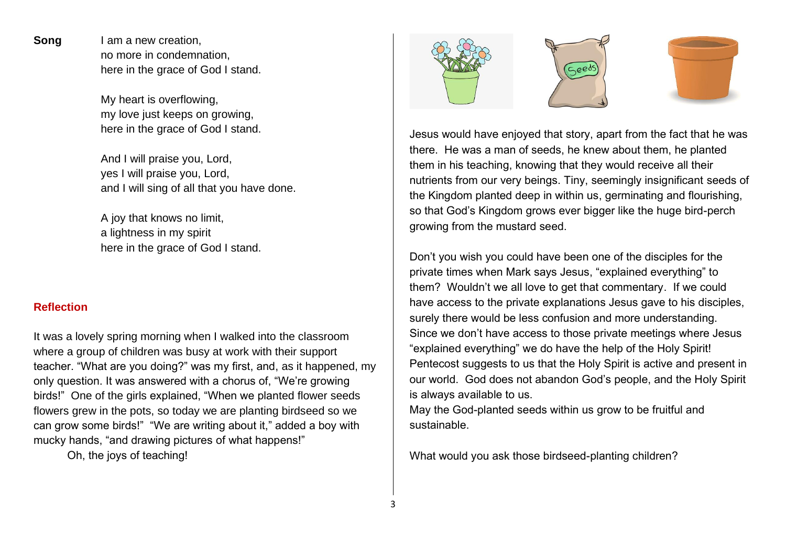**Song** I am a new creation, no more in condemnation, here in the grace of God I stand.

> My heart is overflowing, my love just keeps on growing, here in the grace of God I stand.

And I will praise you, Lord, yes I will praise you, Lord, and I will sing of all that you have done.

A joy that knows no limit, a lightness in my spirit here in the grace of God I stand.

#### **Reflection**

It was a lovely spring morning when I walked into the classroom where a group of children was busy at work with their support teacher. "What are you doing?" was my first, and, as it happened, my only question. It was answered with a chorus of, "We're growing birds!" One of the girls explained, "When we planted flower seeds flowers grew in the pots, so today we are planting birdseed so we can grow some birds!" "We are writing about it," added a boy with mucky hands, "and drawing pictures of what happens!"

Oh, the joys of teaching!







Jesus would have enjoyed that story, apart from the fact that he was there. He was a man of seeds, he knew about them, he planted them in his teaching, knowing that they would receive all their nutrients from our very beings. Tiny, seemingly insignificant seeds of the Kingdom planted deep in within us, germinating and flourishing, so that God's Kingdom grows ever bigger like the huge bird-perch growing from the mustard seed.

Don't you wish you could have been one of the disciples for the private times when Mark says Jesus, "explained everything" to them? Wouldn't we all love to get that commentary. If we could have access to the private explanations Jesus gave to his disciples, surely there would be less confusion and more understanding. Since we don't have access to those private meetings where Jesus "explained everything" we do have the help of the Holy Spirit! Pentecost suggests to us that the Holy Spirit is active and present in our world. God does not abandon God's people, and the Holy Spirit is always available to us.

May the God-planted seeds within us grow to be fruitful and sustainable.

What would you ask those birdseed-planting children?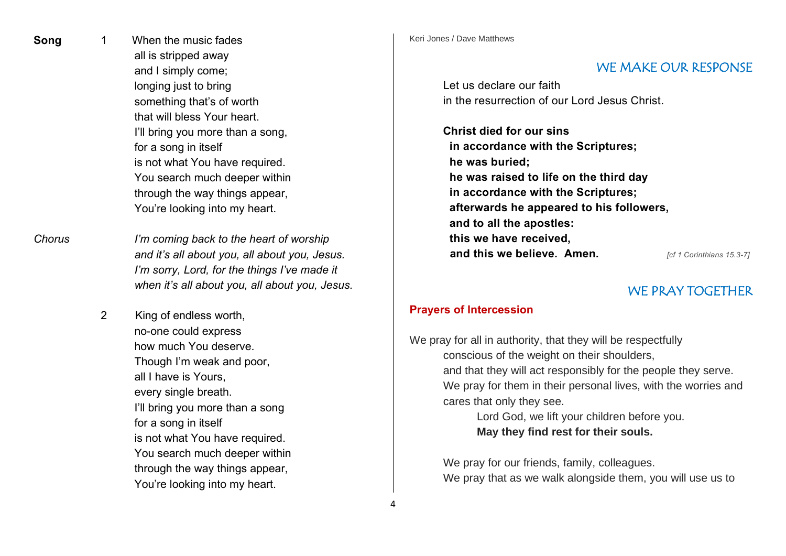**Song** 1 When the music fades all is stripped away and I simply come; longing just to bring something that's of worth that will bless Your heart. I'll bring you more than a song, for a song in itself is not what You have required. You search much deeper within through the way things appear, You're looking into my heart.

*Chorus I'm coming back to the heart of worship and it's all about you, all about you, Jesus. I'm sorry, Lord, for the things I've made it when it's all about you, all about you, Jesus.*

> 2 King of endless worth, no-one could express how much You deserve. Though I'm weak and poor, all I have is Yours, every single breath. I'll bring you more than a song for a song in itself is not what You have required. You search much deeper within through the way things appear, You're looking into my heart.

Keri Jones / Dave Matthews

## WE MAKE OUR RESPONSE

Let us declare our faith in the resurrection of our Lord Jesus Christ.

**Christ died for our sins in accordance with the Scriptures; he was buried; he was raised to life on the third day in accordance with the Scriptures; afterwards he appeared to his followers, and to all the apostles: this we have received, and this we believe. Amen.** *Icf 1 Corinthians 15.3-7]* 

## WE PRAY TOGETHER

## **Prayers of Intercession**

We pray for all in authority, that they will be respectfully conscious of the weight on their shoulders, and that they will act responsibly for the people they serve. We pray for them in their personal lives, with the worries and cares that only they see.

Lord God, we lift your children before you. **May they find rest for their souls.**

We pray for our friends, family, colleagues. We pray that as we walk alongside them, you will use us to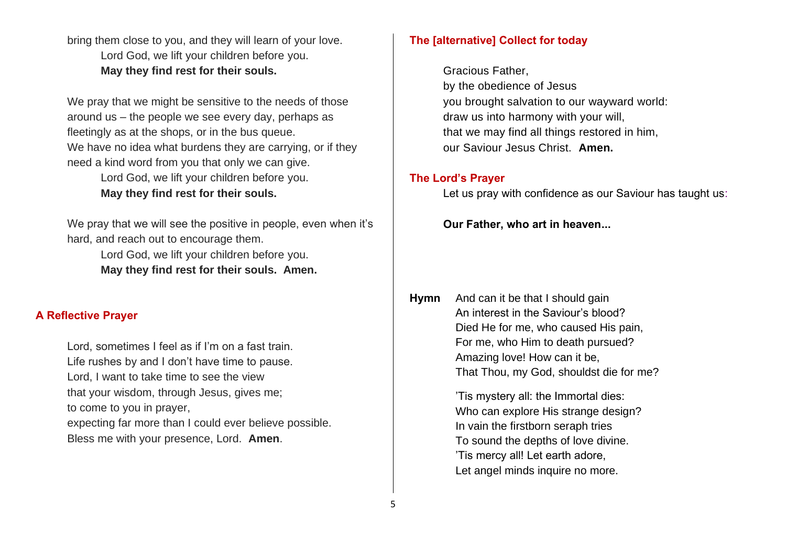bring them close to you, and they will learn of your love. Lord God, we lift your children before you. **May they find rest for their souls.**

We pray that we might be sensitive to the needs of those around us – the people we see every day, perhaps as fleetingly as at the shops, or in the bus queue. We have no idea what burdens they are carrying, or if they need a kind word from you that only we can give.

Lord God, we lift your children before you. **May they find rest for their souls.**

We pray that we will see the positive in people, even when it's hard, and reach out to encourage them.

> Lord God, we lift your children before you. **May they find rest for their souls. Amen.**

#### **A Reflective Prayer**

Lord, sometimes I feel as if I'm on a fast train. Life rushes by and I don't have time to pause. Lord, I want to take time to see the view that your wisdom, through Jesus, gives me; to come to you in prayer, expecting far more than I could ever believe possible. Bless me with your presence, Lord. **Amen**.

## **The [alternative] Collect for today**

Gracious Father, by the obedience of Jesus you brought salvation to our wayward world: draw us into harmony with your will, that we may find all things restored in him, our Saviour Jesus Christ. **Amen.**

#### **The Lord's Prayer**

Let us pray with confidence as our Saviour has taught us:

**Our Father, who art in heaven...**

**Hymn** And can it be that I should gain An interest in the Saviour's blood? Died He for me, who caused His pain, For me, who Him to death pursued? Amazing love! How can it be, That Thou, my God, shouldst die for me?

> 'Tis mystery all: the Immortal dies: Who can explore His strange design? In vain the firstborn seraph tries To sound the depths of love divine. 'Tis mercy all! Let earth adore, Let angel minds inquire no more.